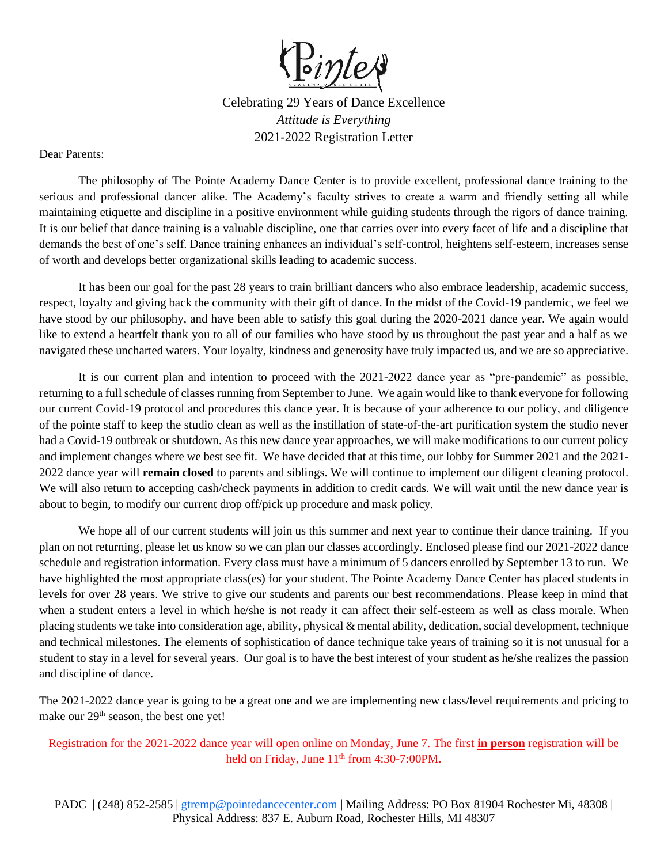

Celebrating 29 Years of Dance Excellence *Attitude is Everything* 2021-2022 Registration Letter

Dear Parents:

The philosophy of The Pointe Academy Dance Center is to provide excellent, professional dance training to the serious and professional dancer alike. The Academy's faculty strives to create a warm and friendly setting all while maintaining etiquette and discipline in a positive environment while guiding students through the rigors of dance training. It is our belief that dance training is a valuable discipline, one that carries over into every facet of life and a discipline that demands the best of one's self. Dance training enhances an individual's self-control, heightens self-esteem, increases sense of worth and develops better organizational skills leading to academic success.

It has been our goal for the past 28 years to train brilliant dancers who also embrace leadership, academic success, respect, loyalty and giving back the community with their gift of dance. In the midst of the Covid-19 pandemic, we feel we have stood by our philosophy, and have been able to satisfy this goal during the 2020-2021 dance year. We again would like to extend a heartfelt thank you to all of our families who have stood by us throughout the past year and a half as we navigated these uncharted waters. Your loyalty, kindness and generosity have truly impacted us, and we are so appreciative.

It is our current plan and intention to proceed with the 2021-2022 dance year as "pre-pandemic" as possible, returning to a full schedule of classes running from September to June. We again would like to thank everyone for following our current Covid-19 protocol and procedures this dance year. It is because of your adherence to our policy, and diligence of the pointe staff to keep the studio clean as well as the instillation of state-of-the-art purification system the studio never had a Covid-19 outbreak or shutdown. As this new dance year approaches, we will make modifications to our current policy and implement changes where we best see fit. We have decided that at this time, our lobby for Summer 2021 and the 2021- 2022 dance year will **remain closed** to parents and siblings. We will continue to implement our diligent cleaning protocol. We will also return to accepting cash/check payments in addition to credit cards. We will wait until the new dance year is about to begin, to modify our current drop off/pick up procedure and mask policy.

We hope all of our current students will join us this summer and next year to continue their dance training. If you plan on not returning, please let us know so we can plan our classes accordingly. Enclosed please find our 2021-2022 dance schedule and registration information. Every class must have a minimum of 5 dancers enrolled by September 13 to run. We have highlighted the most appropriate class(es) for your student. The Pointe Academy Dance Center has placed students in levels for over 28 years. We strive to give our students and parents our best recommendations. Please keep in mind that when a student enters a level in which he/she is not ready it can affect their self-esteem as well as class morale. When placing students we take into consideration age, ability, physical & mental ability, dedication, social development, technique and technical milestones. The elements of sophistication of dance technique take years of training so it is not unusual for a student to stay in a level for several years. Our goal is to have the best interest of your student as he/she realizes the passion and discipline of dance.

The 2021-2022 dance year is going to be a great one and we are implementing new class/level requirements and pricing to make our  $29<sup>th</sup>$  season, the best one yet!

Registration for the 2021-2022 dance year will open online on Monday, June 7. The first **in person** registration will be held on Friday, June  $11<sup>th</sup>$  from 4:30-7:00PM.

PADC | (248) 852-2585 | [gtremp@pointedancecenter.com](mailto:gtremp@pointedancecenter.com) | Mailing Address: PO Box 81904 Rochester Mi, 48308 | Physical Address: 837 E. Auburn Road, Rochester Hills, MI 48307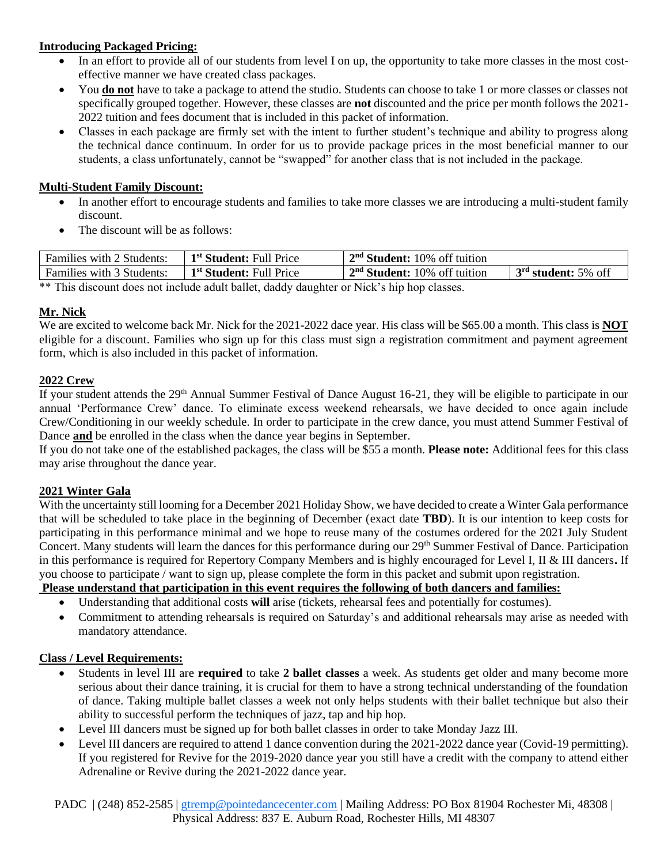## **Introducing Packaged Pricing:**

- In an effort to provide all of our students from level I on up, the opportunity to take more classes in the most costeffective manner we have created class packages.
- You **do not** have to take a package to attend the studio. Students can choose to take 1 or more classes or classes not specifically grouped together. However, these classes are **not** discounted and the price per month follows the 2021- 2022 tuition and fees document that is included in this packet of information.
- Classes in each package are firmly set with the intent to further student's technique and ability to progress along the technical dance continuum. In order for us to provide package prices in the most beneficial manner to our students, a class unfortunately, cannot be "swapped" for another class that is not included in the package.

#### **Multi-Student Family Discount:**

- In another effort to encourage students and families to take more classes we are introducing a multi-student family discount.
- The discount will be as follows:

| Families with 2 Students:                                                               | 1 <sup>st</sup> Student: Full Price | $2nd Student: 10%$ off tuition |                       |  |
|-----------------------------------------------------------------------------------------|-------------------------------------|--------------------------------|-----------------------|--|
| Families with 3 Students:                                                               | 1 <sup>st</sup> Student: Full Price | $2nd Student: 10%$ off tuition | $3rd$ student: 5% off |  |
| $**$ This discover dees not include adult hellet, deddy devektor on Nickel in homologes |                                     |                                |                       |  |

\*\* This discount does not include adult ballet, daddy daughter or Nick's hip hop classes.

## **Mr. Nick**

We are excited to welcome back Mr. Nick for the 2021-2022 dace year. His class will be \$65.00 a month. This class is **NOT** eligible for a discount. Families who sign up for this class must sign a registration commitment and payment agreement form, which is also included in this packet of information.

#### **2022 Crew**

If your student attends the 29<sup>th</sup> Annual Summer Festival of Dance August 16-21, they will be eligible to participate in our annual 'Performance Crew' dance. To eliminate excess weekend rehearsals, we have decided to once again include Crew/Conditioning in our weekly schedule. In order to participate in the crew dance, you must attend Summer Festival of Dance **and** be enrolled in the class when the dance year begins in September.

If you do not take one of the established packages, the class will be \$55 a month. **Please note:** Additional fees for this class may arise throughout the dance year.

## **2021 Winter Gala**

With the uncertainty still looming for a December 2021 Holiday Show, we have decided to create a Winter Gala performance that will be scheduled to take place in the beginning of December (exact date **TBD**). It is our intention to keep costs for participating in this performance minimal and we hope to reuse many of the costumes ordered for the 2021 July Student Concert. Many students will learn the dances for this performance during our 29<sup>th</sup> Summer Festival of Dance. Participation in this performance is required for Repertory Company Members and is highly encouraged for Level I, II & III dancers**.** If you choose to participate / want to sign up, please complete the form in this packet and submit upon registration.

# **Please understand that participation in this event requires the following of both dancers and families:**

- Understanding that additional costs **will** arise (tickets, rehearsal fees and potentially for costumes).
- Commitment to attending rehearsals is required on Saturday's and additional rehearsals may arise as needed with mandatory attendance.

#### **Class / Level Requirements:**

- Students in level III are **required** to take **2 ballet classes** a week. As students get older and many become more serious about their dance training, it is crucial for them to have a strong technical understanding of the foundation of dance. Taking multiple ballet classes a week not only helps students with their ballet technique but also their ability to successful perform the techniques of jazz, tap and hip hop.
- Level III dancers must be signed up for both ballet classes in order to take Monday Jazz III.
- Level III dancers are required to attend 1 dance convention during the 2021-2022 dance year (Covid-19 permitting). If you registered for Revive for the 2019-2020 dance year you still have a credit with the company to attend either Adrenaline or Revive during the 2021-2022 dance year.

PADC | (248) 852-2585 | [gtremp@pointedancecenter.com](mailto:gtremp@pointedancecenter.com) | Mailing Address: PO Box 81904 Rochester Mi, 48308 | Physical Address: 837 E. Auburn Road, Rochester Hills, MI 48307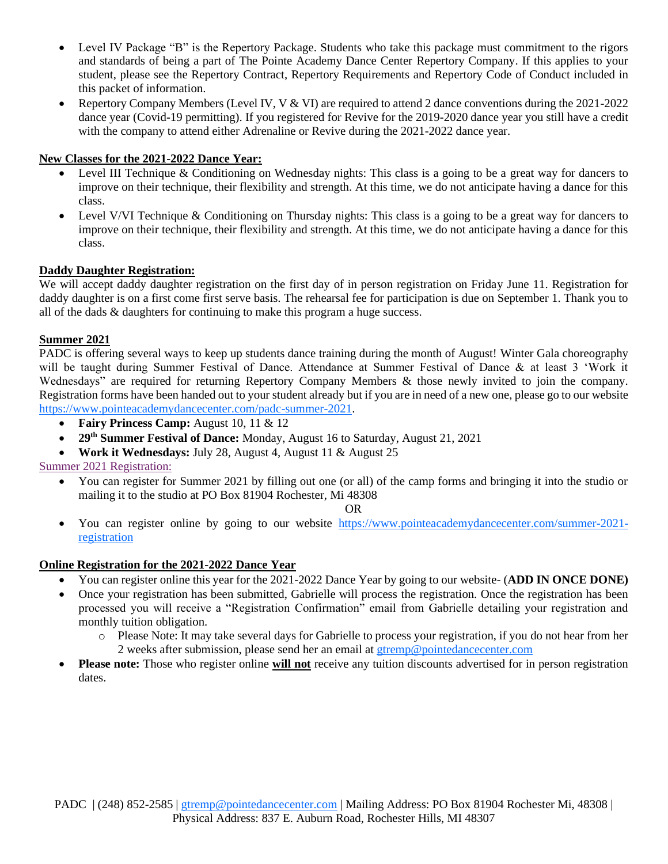- Level IV Package "B" is the Repertory Package. Students who take this package must commitment to the rigors and standards of being a part of The Pointe Academy Dance Center Repertory Company. If this applies to your student, please see the Repertory Contract, Repertory Requirements and Repertory Code of Conduct included in this packet of information.
- Repertory Company Members (Level IV, V & VI) are required to attend 2 dance conventions during the 2021-2022 dance year (Covid-19 permitting). If you registered for Revive for the 2019-2020 dance year you still have a credit with the company to attend either Adrenaline or Revive during the 2021-2022 dance year.

# **New Classes for the 2021-2022 Dance Year:**

- Level III Technique & Conditioning on Wednesday nights: This class is a going to be a great way for dancers to improve on their technique, their flexibility and strength. At this time, we do not anticipate having a dance for this class.
- Level V/VI Technique & Conditioning on Thursday nights: This class is a going to be a great way for dancers to improve on their technique, their flexibility and strength. At this time, we do not anticipate having a dance for this class.

## **Daddy Daughter Registration:**

We will accept daddy daughter registration on the first day of in person registration on Friday June 11. Registration for daddy daughter is on a first come first serve basis. The rehearsal fee for participation is due on September 1. Thank you to all of the dads & daughters for continuing to make this program a huge success.

## **Summer 2021**

PADC is offering several ways to keep up students dance training during the month of August! Winter Gala choreography will be taught during Summer Festival of Dance. Attendance at Summer Festival of Dance & at least 3 'Work it Wednesdays" are required for returning Repertory Company Members & those newly invited to join the company. Registration forms have been handed out to your student already but if you are in need of a new one, please go to our website [https://www.pointeacademydancecenter.com/padc-summer-2021.](https://www.pointeacademydancecenter.com/padc-summer-2021)

- **Fairy Princess Camp:** August 10, 11 & 12
- **29th Summer Festival of Dance:** Monday, August 16 to Saturday, August 21, 2021
- **Work it Wednesdays:** July 28, August 4, August 11 & August 25

Summer 2021 Registration:

• You can register for Summer 2021 by filling out one (or all) of the camp forms and bringing it into the studio or mailing it to the studio at PO Box 81904 Rochester, Mi 48308

#### OR

• You can register online by going to our website [https://www.pointeacademydancecenter.com/summer-2021](https://www.pointeacademydancecenter.com/summer-2021-registration) [registration](https://www.pointeacademydancecenter.com/summer-2021-registration)

## **Online Registration for the 2021-2022 Dance Year**

- You can register online this year for the 2021-2022 Dance Year by going to our website- (**ADD IN ONCE DONE)**
- Once your registration has been submitted, Gabrielle will process the registration. Once the registration has been processed you will receive a "Registration Confirmation" email from Gabrielle detailing your registration and monthly tuition obligation.
	- o Please Note: It may take several days for Gabrielle to process your registration, if you do not hear from her 2 weeks after submission, please send her an email at [gtremp@pointedancecenter.com](mailto:gtremp@pointedancecenter.com)
- **Please note:** Those who register online **will not** receive any tuition discounts advertised for in person registration dates.